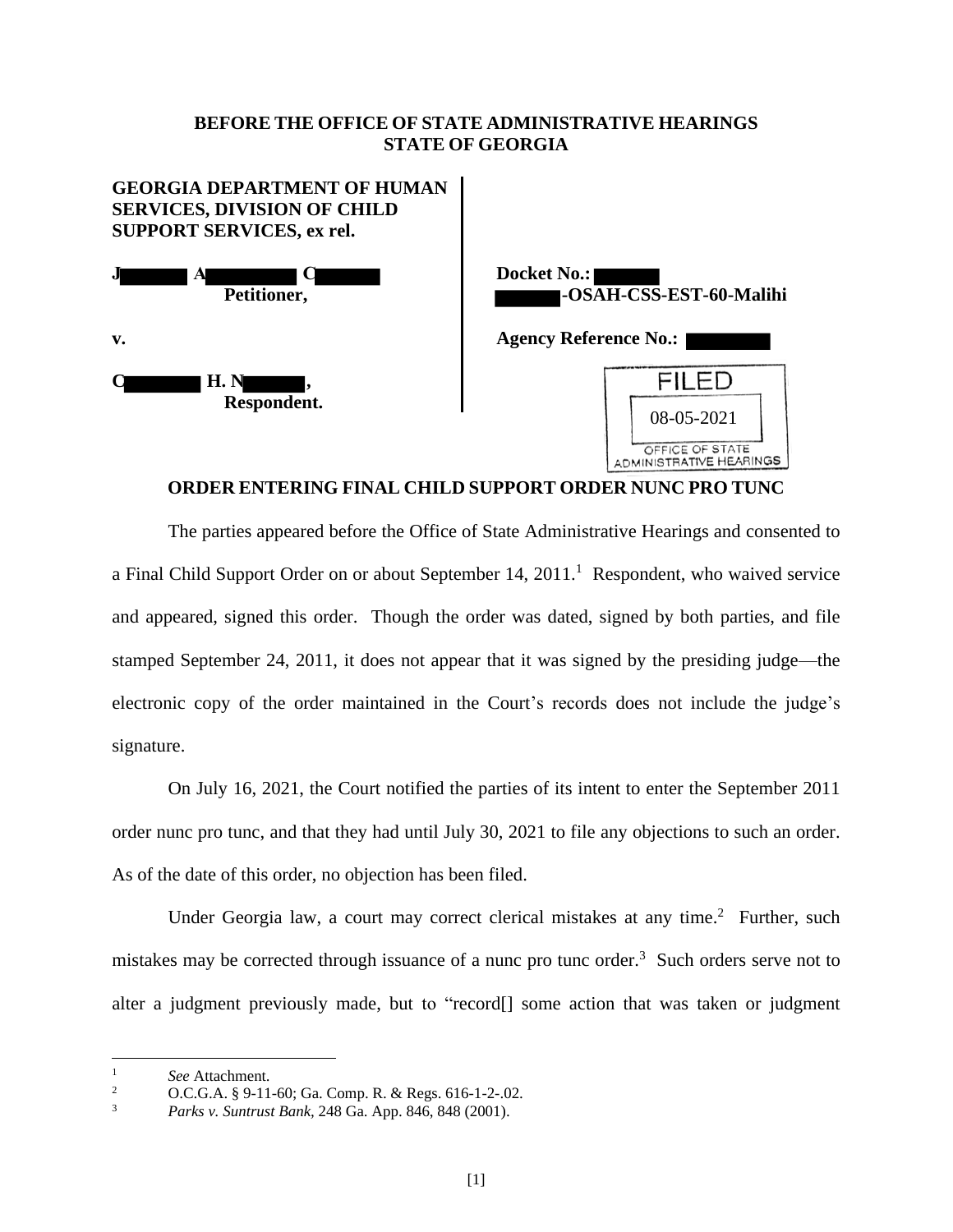## **BEFORE THE OFFICE OF STATE ADMINISTRATIVE HEARINGS STATE OF GEORGIA**



## **ORDER ENTERING FINAL CHILD SUPPORT ORDER NUNC PRO TUNC**

The parties appeared before the Office of State Administrative Hearings and consented to a Final Child Support Order on or about September 14, 2011.<sup>1</sup> Respondent, who waived service and appeared, signed this order. Though the order was dated, signed by both parties, and file stamped September 24, 2011, it does not appear that it was signed by the presiding judge—the electronic copy of the order maintained in the Court's records does not include the judge's signature.

On July 16, 2021, the Court notified the parties of its intent to enter the September 2011 order nunc pro tunc, and that they had until July 30, 2021 to file any objections to such an order. As of the date of this order, no objection has been filed.

Under Georgia law, a court may correct clerical mistakes at any time.<sup>2</sup> Further, such mistakes may be corrected through issuance of a nunc pro tunc order.<sup>3</sup> Such orders serve not to alter a judgment previously made, but to "record[] some action that was taken or judgment

<sup>&</sup>lt;sup>1</sup> *See* Attachment.

<sup>2</sup> O.C.G.A. § 9-11-60; Ga. Comp. R. & Regs. 616-1-2-.02.

<sup>3</sup> *Parks v. Suntrust Bank,* 248 Ga. App. 846, 848 (2001).